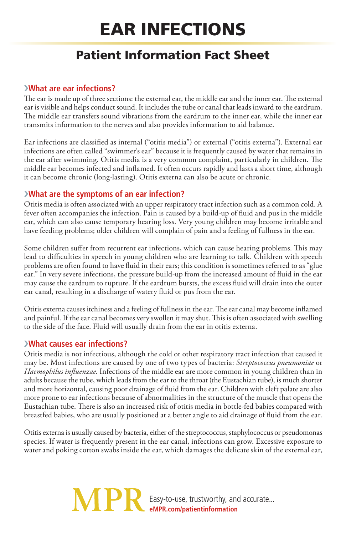# Ear Infections

# Patient Information Fact Sheet

## ›**What are ear infections?**

The ear is made up of three sections: the external ear, the middle ear and the inner ear. The external ear is visible and helps conduct sound. It includes the tube or canal that leads inward to the eardrum. The middle ear transfers sound vibrations from the eardrum to the inner ear, while the inner ear transmits information to the nerves and also provides information to aid balance.

Ear infections are classified as internal ("otitis media") or external ("otitis externa"). External ear infections are often called "swimmer's ear" because it is frequently caused by water that remains in the ear after swimming. Otitis media is a very common complaint, particularly in children. The middle ear becomes infected and inflamed. It often occurs rapidly and lasts a short time, although it can become chronic (long-lasting). Otitis externa can also be acute or chronic.

## ›**What are the symptoms of an ear infection?**

Otitis media is often associated with an upper respiratory tract infection such as a common cold. A fever often accompanies the infection. Pain is caused by a build-up of fluid and pus in the middle ear, which can also cause temporary hearing loss. Very young children may become irritable and have feeding problems; older children will complain of pain and a feeling of fullness in the ear.

Some children suffer from recurrent ear infections, which can cause hearing problems. This may lead to difficulties in speech in young children who are learning to talk. Children with speech problems are often found to have fluid in their ears; this condition is sometimes referred to as "glue ear." In very severe infections, the pressure build-up from the increased amount of fluid in the ear may cause the eardrum to rupture. If the eardrum bursts, the excess fluid will drain into the outer ear canal, resulting in a discharge of watery fluid or pus from the ear.

Otitis externa causes itchiness and a feeling of fullness in the ear. The ear canal may become inflamed and painful. If the ear canal becomes very swollen it may shut. This is often associated with swelling to the side of the face. Fluid will usually drain from the ear in otitis externa.

## ›**What causes ear infections?**

Otitis media is not infectious, although the cold or other respiratory tract infection that caused it may be. Most infections are caused by one of two types of bacteria: *Streptococcus pneumoniae* or *Haemophilus influenzae*. Infections of the middle ear are more common in young children than in adults because the tube, which leads from the ear to the throat (the Eustachian tube), is much shorter and more horizontal, causing poor drainage of fluid from the ear. Children with cleft palate are also more prone to ear infections because of abnormalities in the structure of the muscle that opens the Eustachian tube. There is also an increased risk of otitis media in bottle-fed babies compared with breastfed babies, who are usually positioned at a better angle to aid drainage of fluid from the ear.

Otitis externa is usually caused by bacteria, either of the streptococcus, staphylococcus or pseudomonas species. If water is frequently present in the ear canal, infections can grow. Excessive exposure to water and poking cotton swabs inside the ear, which damages the delicate skin of the external ear,